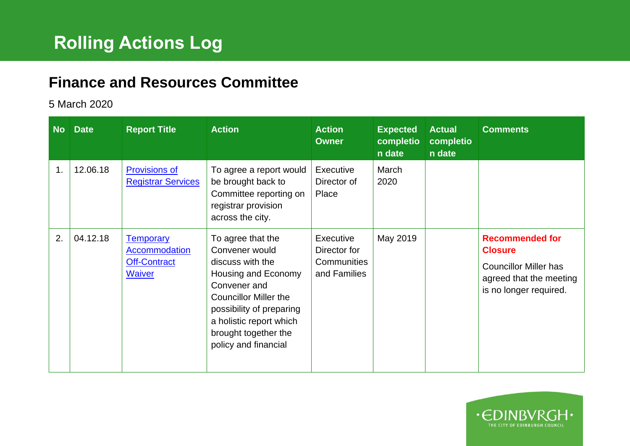## **Finance and Resources Committee**

## 5 March 2020

| <b>No</b> | <b>Date</b> | <b>Report Title</b>                                         | <b>Action</b>                                                                                                                                                                                                                         | <b>Action</b><br><b>Owner</b>                                   | <b>Expected</b><br>completio<br>n date | <b>Actual</b><br>completio<br>n date | <b>Comments</b>                                                                                                               |
|-----------|-------------|-------------------------------------------------------------|---------------------------------------------------------------------------------------------------------------------------------------------------------------------------------------------------------------------------------------|-----------------------------------------------------------------|----------------------------------------|--------------------------------------|-------------------------------------------------------------------------------------------------------------------------------|
| 1.        | 12.06.18    | <b>Provisions of</b><br><b>Registrar Services</b>           | To agree a report would<br>be brought back to<br>Committee reporting on<br>registrar provision<br>across the city.                                                                                                                    | Executive<br>Director of<br>Place                               | March<br>2020                          |                                      |                                                                                                                               |
| 2.        | 04.12.18    | <b>Temporary</b><br>Accommodation<br>Off-Contract<br>Waiver | To agree that the<br>Convener would<br>discuss with the<br>Housing and Economy<br>Convener and<br><b>Councillor Miller the</b><br>possibility of preparing<br>a holistic report which<br>brought together the<br>policy and financial | Executive<br>Director for<br><b>Communities</b><br>and Families | May 2019                               |                                      | <b>Recommended for</b><br><b>Closure</b><br><b>Councillor Miller has</b><br>agreed that the meeting<br>is no longer required. |

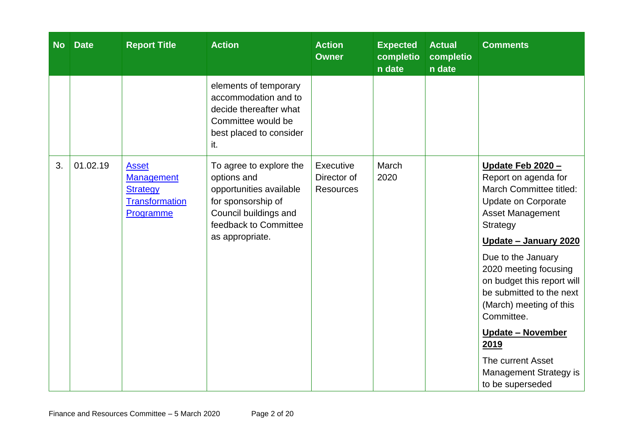| <b>No</b> | <b>Date</b> | <b>Report Title</b>                                                                        | <b>Action</b>                                                                                                                                                | <b>Action</b><br><b>Owner</b>                | <b>Expected</b><br>completio<br>n date | <b>Actual</b><br>completio<br>n date | <b>Comments</b>                                                                                                                                                                                                                                                                                                                                                                                                                    |
|-----------|-------------|--------------------------------------------------------------------------------------------|--------------------------------------------------------------------------------------------------------------------------------------------------------------|----------------------------------------------|----------------------------------------|--------------------------------------|------------------------------------------------------------------------------------------------------------------------------------------------------------------------------------------------------------------------------------------------------------------------------------------------------------------------------------------------------------------------------------------------------------------------------------|
|           |             |                                                                                            | elements of temporary<br>accommodation and to<br>decide thereafter what<br>Committee would be<br>best placed to consider<br>it.                              |                                              |                                        |                                      |                                                                                                                                                                                                                                                                                                                                                                                                                                    |
| 3.        | 01.02.19    | <b>Asset</b><br><b>Management</b><br><b>Strategy</b><br><b>Transformation</b><br>Programme | To agree to explore the<br>options and<br>opportunities available<br>for sponsorship of<br>Council buildings and<br>feedback to Committee<br>as appropriate. | Executive<br>Director of<br><b>Resources</b> | March<br>2020                          |                                      | Update Feb 2020 -<br>Report on agenda for<br>March Committee titled:<br><b>Update on Corporate</b><br><b>Asset Management</b><br><b>Strategy</b><br>Update - January 2020<br>Due to the January<br>2020 meeting focusing<br>on budget this report will<br>be submitted to the next<br>(March) meeting of this<br>Committee.<br>Update - November<br>2019<br>The current Asset<br><b>Management Strategy is</b><br>to be superseded |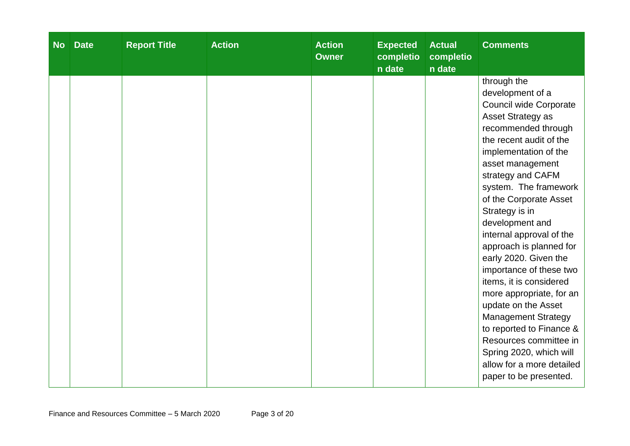| <b>No</b> | <b>Date</b> | <b>Report Title</b> | <b>Action</b> | <b>Action</b><br><b>Owner</b> | <b>Expected</b><br>completio<br>n date | <b>Actual</b><br>completio<br>n date | <b>Comments</b>                                                                                                                                                                                                                                                                                                                                                                                                                                                                                                                                                                                                                                           |
|-----------|-------------|---------------------|---------------|-------------------------------|----------------------------------------|--------------------------------------|-----------------------------------------------------------------------------------------------------------------------------------------------------------------------------------------------------------------------------------------------------------------------------------------------------------------------------------------------------------------------------------------------------------------------------------------------------------------------------------------------------------------------------------------------------------------------------------------------------------------------------------------------------------|
|           |             |                     |               |                               |                                        |                                      | through the<br>development of a<br>Council wide Corporate<br>Asset Strategy as<br>recommended through<br>the recent audit of the<br>implementation of the<br>asset management<br>strategy and CAFM<br>system. The framework<br>of the Corporate Asset<br>Strategy is in<br>development and<br>internal approval of the<br>approach is planned for<br>early 2020. Given the<br>importance of these two<br>items, it is considered<br>more appropriate, for an<br>update on the Asset<br><b>Management Strategy</b><br>to reported to Finance &<br>Resources committee in<br>Spring 2020, which will<br>allow for a more detailed<br>paper to be presented. |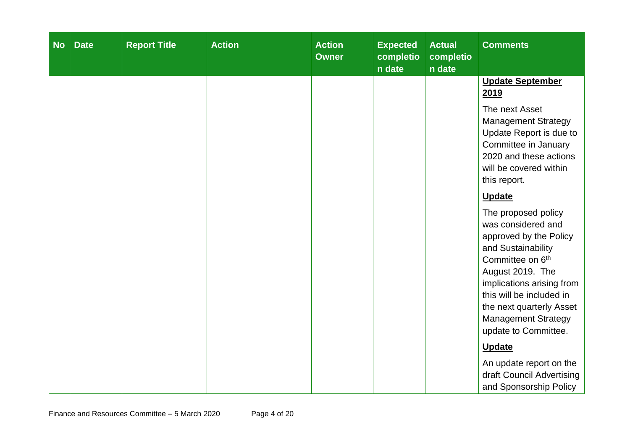| <b>No</b> | <b>Date</b> | <b>Report Title</b> | <b>Action</b> | <b>Action</b><br><b>Owner</b> | <b>Expected</b><br>completio<br>n date | <b>Actual</b><br>completio<br>n date | <b>Comments</b>                                                                                                                                                                                                                                                                          |
|-----------|-------------|---------------------|---------------|-------------------------------|----------------------------------------|--------------------------------------|------------------------------------------------------------------------------------------------------------------------------------------------------------------------------------------------------------------------------------------------------------------------------------------|
|           |             |                     |               |                               |                                        |                                      | <b>Update September</b><br>2019                                                                                                                                                                                                                                                          |
|           |             |                     |               |                               |                                        |                                      | The next Asset<br><b>Management Strategy</b><br>Update Report is due to<br>Committee in January<br>2020 and these actions<br>will be covered within<br>this report.                                                                                                                      |
|           |             |                     |               |                               |                                        |                                      | <b>Update</b>                                                                                                                                                                                                                                                                            |
|           |             |                     |               |                               |                                        |                                      | The proposed policy<br>was considered and<br>approved by the Policy<br>and Sustainability<br>Committee on 6 <sup>th</sup><br>August 2019. The<br>implications arising from<br>this will be included in<br>the next quarterly Asset<br><b>Management Strategy</b><br>update to Committee. |
|           |             |                     |               |                               |                                        |                                      | <b>Update</b>                                                                                                                                                                                                                                                                            |
|           |             |                     |               |                               |                                        |                                      | An update report on the<br>draft Council Advertising<br>and Sponsorship Policy                                                                                                                                                                                                           |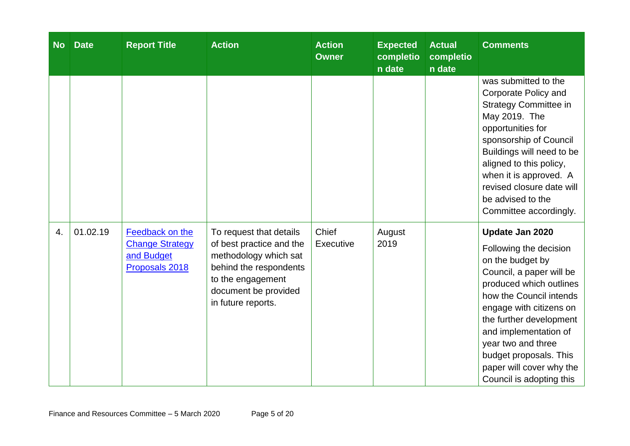| <b>No</b> | <b>Date</b> | <b>Report Title</b>                                                       | <b>Action</b>                                                                                                                                                             | <b>Action</b><br><b>Owner</b> | <b>Expected</b><br>completio<br>n date | <b>Actual</b><br>completio<br>n date | <b>Comments</b>                                                                                                                                                                                                                                                                                                                        |
|-----------|-------------|---------------------------------------------------------------------------|---------------------------------------------------------------------------------------------------------------------------------------------------------------------------|-------------------------------|----------------------------------------|--------------------------------------|----------------------------------------------------------------------------------------------------------------------------------------------------------------------------------------------------------------------------------------------------------------------------------------------------------------------------------------|
|           |             |                                                                           |                                                                                                                                                                           |                               |                                        |                                      | was submitted to the<br>Corporate Policy and<br><b>Strategy Committee in</b><br>May 2019. The<br>opportunities for<br>sponsorship of Council<br>Buildings will need to be<br>aligned to this policy,<br>when it is approved. A<br>revised closure date will<br>be advised to the<br>Committee accordingly.                             |
| 4.        | 01.02.19    | Feedback on the<br><b>Change Strategy</b><br>and Budget<br>Proposals 2018 | To request that details<br>of best practice and the<br>methodology which sat<br>behind the respondents<br>to the engagement<br>document be provided<br>in future reports. | Chief<br>Executive            | August<br>2019                         |                                      | Update Jan 2020<br>Following the decision<br>on the budget by<br>Council, a paper will be<br>produced which outlines<br>how the Council intends<br>engage with citizens on<br>the further development<br>and implementation of<br>year two and three<br>budget proposals. This<br>paper will cover why the<br>Council is adopting this |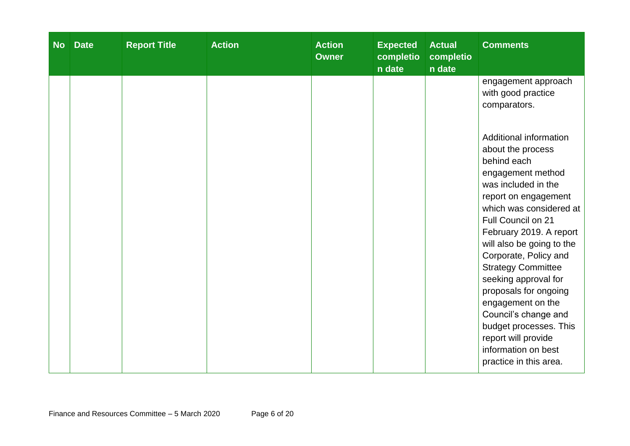| <b>No</b> | <b>Date</b> | <b>Report Title</b> | <b>Action</b> | <b>Action</b><br><b>Owner</b> | <b>Expected</b><br>completio<br>n date | <b>Actual</b><br>completio<br>n date | <b>Comments</b>                                                                                                                                                                                                                                                                                                                                                                     |
|-----------|-------------|---------------------|---------------|-------------------------------|----------------------------------------|--------------------------------------|-------------------------------------------------------------------------------------------------------------------------------------------------------------------------------------------------------------------------------------------------------------------------------------------------------------------------------------------------------------------------------------|
|           |             |                     |               |                               |                                        |                                      | engagement approach<br>with good practice<br>comparators.<br>Additional information<br>about the process<br>behind each<br>engagement method<br>was included in the                                                                                                                                                                                                                 |
|           |             |                     |               |                               |                                        |                                      | report on engagement<br>which was considered at<br>Full Council on 21<br>February 2019. A report<br>will also be going to the<br>Corporate, Policy and<br><b>Strategy Committee</b><br>seeking approval for<br>proposals for ongoing<br>engagement on the<br>Council's change and<br>budget processes. This<br>report will provide<br>information on best<br>practice in this area. |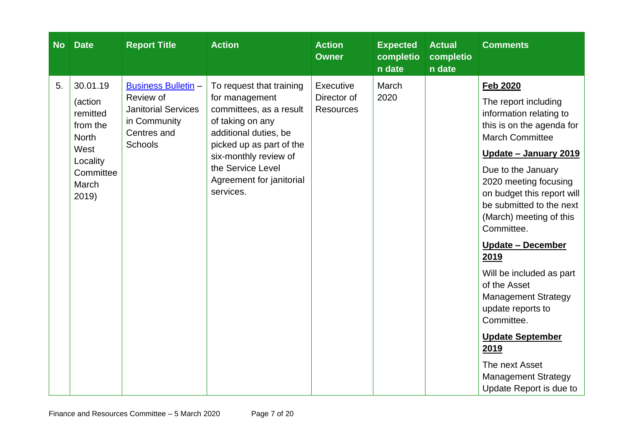| <b>No</b> | <b>Date</b>                                                                                                    | <b>Report Title</b>                                                                                                    | <b>Action</b>                                                                                                                                                                                                                         | <b>Action</b><br><b>Owner</b>                | <b>Expected</b><br>completio<br>n date | <b>Actual</b><br>completio<br>n date | <b>Comments</b>                                                                                                                                                                                                                                                                                                                                                                                                                                                                                                                                                             |
|-----------|----------------------------------------------------------------------------------------------------------------|------------------------------------------------------------------------------------------------------------------------|---------------------------------------------------------------------------------------------------------------------------------------------------------------------------------------------------------------------------------------|----------------------------------------------|----------------------------------------|--------------------------------------|-----------------------------------------------------------------------------------------------------------------------------------------------------------------------------------------------------------------------------------------------------------------------------------------------------------------------------------------------------------------------------------------------------------------------------------------------------------------------------------------------------------------------------------------------------------------------------|
| 5.        | 30.01.19<br>(action<br>remitted<br>from the<br><b>North</b><br>West<br>Locality<br>Committee<br>March<br>2019) | <b>Business Bulletin -</b><br>Review of<br><b>Janitorial Services</b><br>in Community<br>Centres and<br><b>Schools</b> | To request that training<br>for management<br>committees, as a result<br>of taking on any<br>additional duties, be<br>picked up as part of the<br>six-monthly review of<br>the Service Level<br>Agreement for janitorial<br>services. | Executive<br>Director of<br><b>Resources</b> | March<br>2020                          |                                      | <b>Feb 2020</b><br>The report including<br>information relating to<br>this is on the agenda for<br><b>March Committee</b><br><u> Update – January 2019</u><br>Due to the January<br>2020 meeting focusing<br>on budget this report will<br>be submitted to the next<br>(March) meeting of this<br>Committee.<br><b>Update - December</b><br>2019<br>Will be included as part<br>of the Asset<br><b>Management Strategy</b><br>update reports to<br>Committee.<br><b>Update September</b><br>2019<br>The next Asset<br><b>Management Strategy</b><br>Update Report is due to |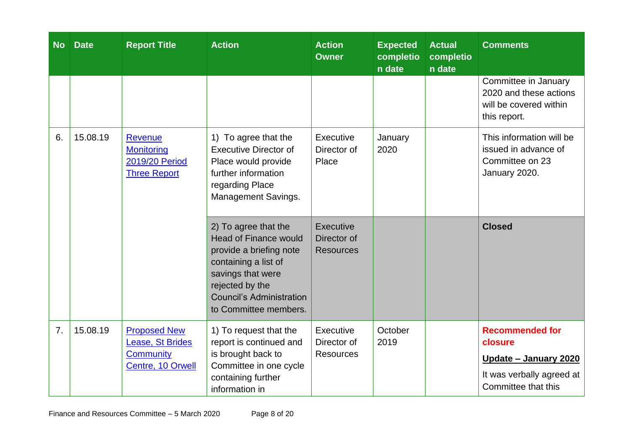| <b>No</b> | <b>Date</b> | <b>Report Title</b>                                                              | <b>Action</b>                                                                                                                                                                                               | <b>Action</b><br><b>Owner</b>                | <b>Expected</b><br>completio<br>n date | <b>Actual</b><br>completio<br>n date | <b>Comments</b>                                                                                                        |
|-----------|-------------|----------------------------------------------------------------------------------|-------------------------------------------------------------------------------------------------------------------------------------------------------------------------------------------------------------|----------------------------------------------|----------------------------------------|--------------------------------------|------------------------------------------------------------------------------------------------------------------------|
|           |             |                                                                                  |                                                                                                                                                                                                             |                                              |                                        |                                      | Committee in January<br>2020 and these actions<br>will be covered within<br>this report.                               |
| 6.        | 15.08.19    | <b>Revenue</b><br><b>Monitoring</b><br>2019/20 Period<br><b>Three Report</b>     | 1) To agree that the<br><b>Executive Director of</b><br>Place would provide<br>further information<br>regarding Place<br>Management Savings.                                                                | Executive<br>Director of<br>Place            | January<br>2020                        |                                      | This information will be<br>issued in advance of<br>Committee on 23<br>January 2020.                                   |
|           |             |                                                                                  | 2) To agree that the<br><b>Head of Finance would</b><br>provide a briefing note<br>containing a list of<br>savings that were<br>rejected by the<br><b>Council's Administration</b><br>to Committee members. | Executive<br>Director of<br><b>Resources</b> |                                        |                                      | <b>Closed</b>                                                                                                          |
| 7.        | 15.08.19    | <b>Proposed New</b><br>Lease, St Brides<br><b>Community</b><br>Centre, 10 Orwell | 1) To request that the<br>report is continued and<br>is brought back to<br>Committee in one cycle<br>containing further<br>information in                                                                   | Executive<br>Director of<br><b>Resources</b> | October<br>2019                        |                                      | <b>Recommended for</b><br>closure<br><u> Update – January 2020</u><br>It was verbally agreed at<br>Committee that this |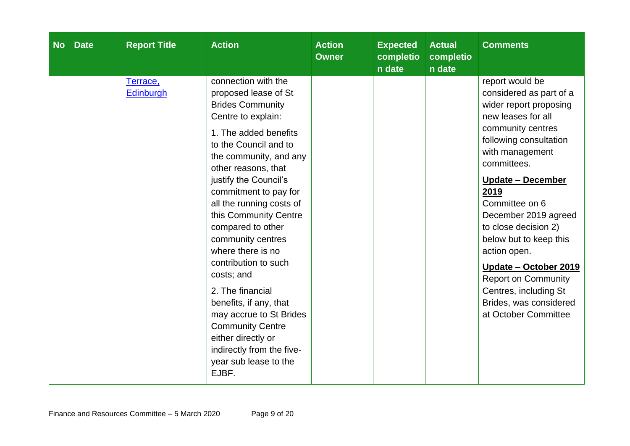| <b>No</b> | <b>Date</b> | <b>Report Title</b>          | <b>Action</b>                                                                                                                                                                                                                                                                                                                                                                                                                                                                                                                                                                                        | <b>Action</b><br><b>Owner</b> | <b>Expected</b><br>completio<br>n date | <b>Actual</b><br>completio<br>n date | <b>Comments</b>                                                                                                                                                                                                                                                                                                                                                                                                                                                      |
|-----------|-------------|------------------------------|------------------------------------------------------------------------------------------------------------------------------------------------------------------------------------------------------------------------------------------------------------------------------------------------------------------------------------------------------------------------------------------------------------------------------------------------------------------------------------------------------------------------------------------------------------------------------------------------------|-------------------------------|----------------------------------------|--------------------------------------|----------------------------------------------------------------------------------------------------------------------------------------------------------------------------------------------------------------------------------------------------------------------------------------------------------------------------------------------------------------------------------------------------------------------------------------------------------------------|
|           |             | Terrace,<br><b>Edinburgh</b> | connection with the<br>proposed lease of St<br><b>Brides Community</b><br>Centre to explain:<br>1. The added benefits<br>to the Council and to<br>the community, and any<br>other reasons, that<br>justify the Council's<br>commitment to pay for<br>all the running costs of<br>this Community Centre<br>compared to other<br>community centres<br>where there is no<br>contribution to such<br>costs; and<br>2. The financial<br>benefits, if any, that<br>may accrue to St Brides<br><b>Community Centre</b><br>either directly or<br>indirectly from the five-<br>year sub lease to the<br>EJBF. |                               |                                        |                                      | report would be<br>considered as part of a<br>wider report proposing<br>new leases for all<br>community centres<br>following consultation<br>with management<br>committees.<br><u><b>Update – December</b></u><br>2019<br>Committee on 6<br>December 2019 agreed<br>to close decision 2)<br>below but to keep this<br>action open.<br>Update - October 2019<br><b>Report on Community</b><br>Centres, including St<br>Brides, was considered<br>at October Committee |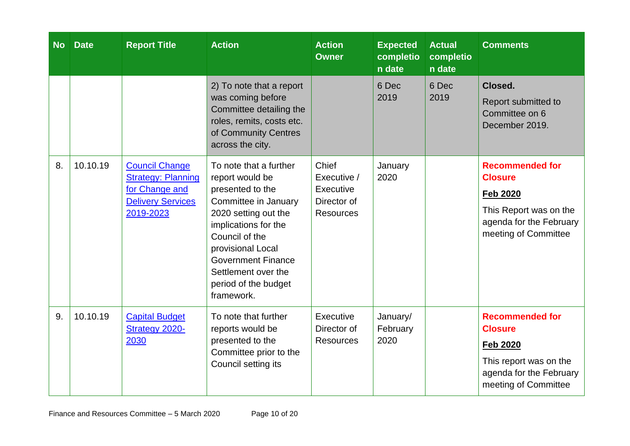| <b>No</b> | <b>Date</b> | <b>Report Title</b>                                                                                           | <b>Action</b>                                                                                                                                                                                                                                                          | <b>Action</b><br><b>Owner</b>                                        | <b>Expected</b><br>completio<br>n date | <b>Actual</b><br>completio<br>n date | <b>Comments</b>                                                                                                                          |
|-----------|-------------|---------------------------------------------------------------------------------------------------------------|------------------------------------------------------------------------------------------------------------------------------------------------------------------------------------------------------------------------------------------------------------------------|----------------------------------------------------------------------|----------------------------------------|--------------------------------------|------------------------------------------------------------------------------------------------------------------------------------------|
|           |             |                                                                                                               | 2) To note that a report<br>was coming before<br>Committee detailing the<br>roles, remits, costs etc.<br>of Community Centres<br>across the city.                                                                                                                      |                                                                      | 6 Dec<br>2019                          | 6 Dec<br>2019                        | Closed.<br>Report submitted to<br>Committee on 6<br>December 2019.                                                                       |
| 8.        | 10.10.19    | <b>Council Change</b><br><b>Strategy: Planning</b><br>for Change and<br><b>Delivery Services</b><br>2019-2023 | To note that a further<br>report would be<br>presented to the<br>Committee in January<br>2020 setting out the<br>implications for the<br>Council of the<br>provisional Local<br><b>Government Finance</b><br>Settlement over the<br>period of the budget<br>framework. | Chief<br>Executive /<br>Executive<br>Director of<br><b>Resources</b> | January<br>2020                        |                                      | <b>Recommended for</b><br><b>Closure</b><br><b>Feb 2020</b><br>This Report was on the<br>agenda for the February<br>meeting of Committee |
| 9.        | 10.10.19    | <b>Capital Budget</b><br>Strategy 2020-<br>2030                                                               | To note that further<br>reports would be<br>presented to the<br>Committee prior to the<br>Council setting its                                                                                                                                                          | Executive<br>Director of<br><b>Resources</b>                         | January/<br>February<br>2020           |                                      | <b>Recommended for</b><br><b>Closure</b><br><b>Feb 2020</b><br>This report was on the<br>agenda for the February<br>meeting of Committee |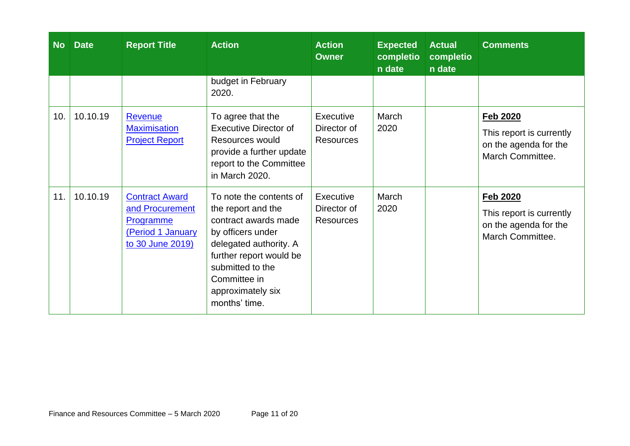| <b>No</b> | <b>Date</b> | <b>Report Title</b>                                                                                   | <b>Action</b>                                                                                                                                                                                                             | <b>Action</b><br><b>Owner</b>                | <b>Expected</b><br>completio<br>n date | <b>Actual</b><br>completio<br>n date | <b>Comments</b>                                                                          |
|-----------|-------------|-------------------------------------------------------------------------------------------------------|---------------------------------------------------------------------------------------------------------------------------------------------------------------------------------------------------------------------------|----------------------------------------------|----------------------------------------|--------------------------------------|------------------------------------------------------------------------------------------|
|           |             |                                                                                                       | budget in February<br>2020.                                                                                                                                                                                               |                                              |                                        |                                      |                                                                                          |
| 10.       | 10.10.19    | Revenue<br><b>Maximisation</b><br><b>Project Report</b>                                               | To agree that the<br><b>Executive Director of</b><br>Resources would<br>provide a further update<br>report to the Committee<br>in March 2020.                                                                             | Executive<br>Director of<br><b>Resources</b> | March<br>2020                          |                                      | <b>Feb 2020</b><br>This report is currently<br>on the agenda for the<br>March Committee. |
| 11.       | 10.10.19    | <b>Contract Award</b><br>and Procurement<br><b>Programme</b><br>(Period 1 January<br>to 30 June 2019) | To note the contents of<br>the report and the<br>contract awards made<br>by officers under<br>delegated authority. A<br>further report would be<br>submitted to the<br>Committee in<br>approximately six<br>months' time. | Executive<br>Director of<br><b>Resources</b> | March<br>2020                          |                                      | <b>Feb 2020</b><br>This report is currently<br>on the agenda for the<br>March Committee. |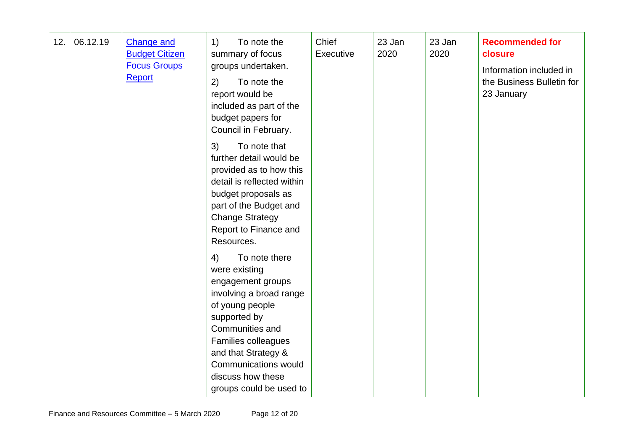| 12. | 06.12.19 | <b>Change and</b><br><b>Budget Citizen</b><br><b>Focus Groups</b><br><b>Report</b> | To note the<br>1)<br>summary of focus<br>groups undertaken.<br>To note the<br>2)<br>report would be<br>included as part of the<br>budget papers for<br>Council in February.<br>To note that<br>3)<br>further detail would be<br>provided as to how this<br>detail is reflected within<br>budget proposals as<br>part of the Budget and<br><b>Change Strategy</b><br>Report to Finance and<br>Resources.<br>4)<br>To note there<br>were existing<br>engagement groups<br>involving a broad range<br>of young people<br>supported by<br>Communities and<br>Families colleagues<br>and that Strategy &<br><b>Communications would</b> | Chief<br>Executive | 23 Jan<br>2020 | 23 Jan<br>2020 | <b>Recommended for</b><br>closure<br>Information included in<br>the Business Bulletin for<br>23 January |
|-----|----------|------------------------------------------------------------------------------------|------------------------------------------------------------------------------------------------------------------------------------------------------------------------------------------------------------------------------------------------------------------------------------------------------------------------------------------------------------------------------------------------------------------------------------------------------------------------------------------------------------------------------------------------------------------------------------------------------------------------------------|--------------------|----------------|----------------|---------------------------------------------------------------------------------------------------------|
|     |          |                                                                                    | discuss how these<br>groups could be used to                                                                                                                                                                                                                                                                                                                                                                                                                                                                                                                                                                                       |                    |                |                |                                                                                                         |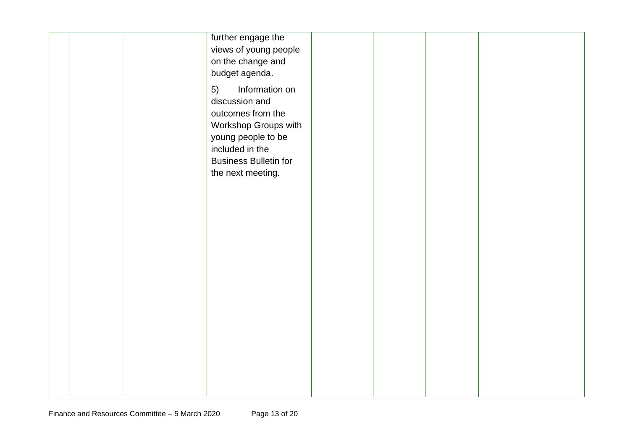| further engage the<br>views of young people<br>on the change and<br>budget agenda.<br>Information on<br>5)<br>discussion and            |  |  |
|-----------------------------------------------------------------------------------------------------------------------------------------|--|--|
| outcomes from the<br>Workshop Groups with<br>young people to be<br>included in the<br><b>Business Bulletin for</b><br>the next meeting. |  |  |
|                                                                                                                                         |  |  |
|                                                                                                                                         |  |  |
|                                                                                                                                         |  |  |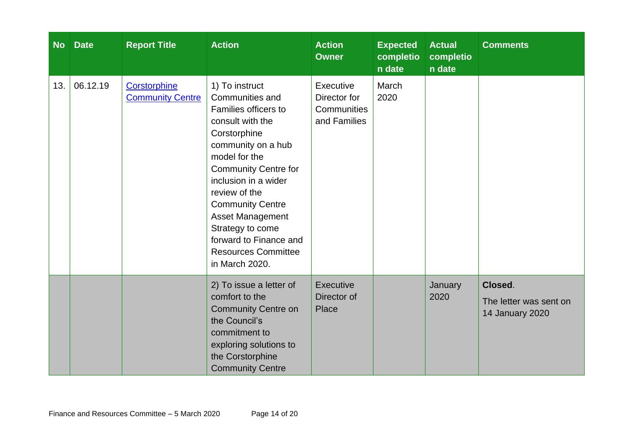| <b>No</b> | <b>Date</b> | <b>Report Title</b>                     | <b>Action</b>                                                                                                                                                                                                                                                                                                                                                    | <b>Action</b><br><b>Owner</b>                            | <b>Expected</b><br>completio<br>n date | <b>Actual</b><br>completio<br>n date | <b>Comments</b>                                      |
|-----------|-------------|-----------------------------------------|------------------------------------------------------------------------------------------------------------------------------------------------------------------------------------------------------------------------------------------------------------------------------------------------------------------------------------------------------------------|----------------------------------------------------------|----------------------------------------|--------------------------------------|------------------------------------------------------|
| 13.       | 06.12.19    | Corstorphine<br><b>Community Centre</b> | 1) To instruct<br>Communities and<br>Families officers to<br>consult with the<br>Corstorphine<br>community on a hub<br>model for the<br><b>Community Centre for</b><br>inclusion in a wider<br>review of the<br><b>Community Centre</b><br><b>Asset Management</b><br>Strategy to come<br>forward to Finance and<br><b>Resources Committee</b><br>in March 2020. | Executive<br>Director for<br>Communities<br>and Families | March<br>2020                          |                                      |                                                      |
|           |             |                                         | 2) To issue a letter of<br>comfort to the<br><b>Community Centre on</b><br>the Council's<br>commitment to<br>exploring solutions to<br>the Corstorphine<br><b>Community Centre</b>                                                                                                                                                                               | Executive<br>Director of<br>Place                        |                                        | January<br>2020                      | Closed.<br>The letter was sent on<br>14 January 2020 |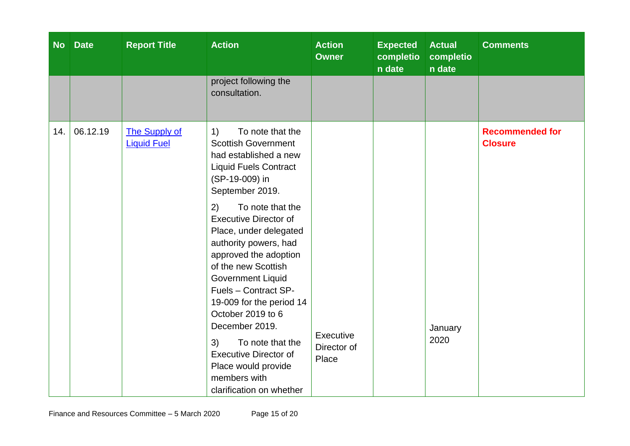| <b>No</b> | <b>Date</b> | <b>Report Title</b>                        | <b>Action</b>                                                                                                                                                                                                                                                                                                                                                                                                                                                                                                                                                       | <b>Action</b><br><b>Owner</b>     | <b>Expected</b><br>completio<br>n date | <b>Actual</b><br>completio<br>n date | <b>Comments</b>                          |
|-----------|-------------|--------------------------------------------|---------------------------------------------------------------------------------------------------------------------------------------------------------------------------------------------------------------------------------------------------------------------------------------------------------------------------------------------------------------------------------------------------------------------------------------------------------------------------------------------------------------------------------------------------------------------|-----------------------------------|----------------------------------------|--------------------------------------|------------------------------------------|
|           |             |                                            | project following the<br>consultation.                                                                                                                                                                                                                                                                                                                                                                                                                                                                                                                              |                                   |                                        |                                      |                                          |
| 14.       | 06.12.19    | <b>The Supply of</b><br><b>Liquid Fuel</b> | To note that the<br>1)<br><b>Scottish Government</b><br>had established a new<br><b>Liquid Fuels Contract</b><br>(SP-19-009) in<br>September 2019.<br>To note that the<br>2)<br><b>Executive Director of</b><br>Place, under delegated<br>authority powers, had<br>approved the adoption<br>of the new Scottish<br><b>Government Liquid</b><br>Fuels - Contract SP-<br>19-009 for the period 14<br>October 2019 to 6<br>December 2019.<br>To note that the<br>3)<br><b>Executive Director of</b><br>Place would provide<br>members with<br>clarification on whether | Executive<br>Director of<br>Place |                                        | January<br>2020                      | <b>Recommended for</b><br><b>Closure</b> |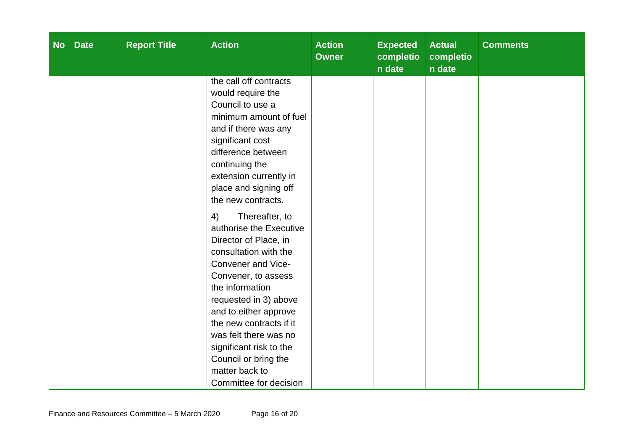| <b>No</b> | <b>Date</b> | <b>Report Title</b> | <b>Action</b>                                  | <b>Action</b><br><b>Owner</b> | <b>Expected</b><br>completio<br>n date | <b>Actual</b><br>completio<br>n date | <b>Comments</b> |
|-----------|-------------|---------------------|------------------------------------------------|-------------------------------|----------------------------------------|--------------------------------------|-----------------|
|           |             |                     | the call off contracts<br>would require the    |                               |                                        |                                      |                 |
|           |             |                     | Council to use a                               |                               |                                        |                                      |                 |
|           |             |                     | minimum amount of fuel                         |                               |                                        |                                      |                 |
|           |             |                     | and if there was any                           |                               |                                        |                                      |                 |
|           |             |                     | significant cost                               |                               |                                        |                                      |                 |
|           |             |                     | difference between                             |                               |                                        |                                      |                 |
|           |             |                     | continuing the                                 |                               |                                        |                                      |                 |
|           |             |                     | extension currently in                         |                               |                                        |                                      |                 |
|           |             |                     | place and signing off<br>the new contracts.    |                               |                                        |                                      |                 |
|           |             |                     |                                                |                               |                                        |                                      |                 |
|           |             |                     | Thereafter, to<br>4)                           |                               |                                        |                                      |                 |
|           |             |                     | authorise the Executive                        |                               |                                        |                                      |                 |
|           |             |                     | Director of Place, in<br>consultation with the |                               |                                        |                                      |                 |
|           |             |                     | Convener and Vice-                             |                               |                                        |                                      |                 |
|           |             |                     | Convener, to assess                            |                               |                                        |                                      |                 |
|           |             |                     | the information                                |                               |                                        |                                      |                 |
|           |             |                     | requested in 3) above                          |                               |                                        |                                      |                 |
|           |             |                     | and to either approve                          |                               |                                        |                                      |                 |
|           |             |                     | the new contracts if it                        |                               |                                        |                                      |                 |
|           |             |                     | was felt there was no                          |                               |                                        |                                      |                 |
|           |             |                     | significant risk to the                        |                               |                                        |                                      |                 |
|           |             |                     | Council or bring the                           |                               |                                        |                                      |                 |
|           |             |                     | matter back to                                 |                               |                                        |                                      |                 |
|           |             |                     | Committee for decision                         |                               |                                        |                                      |                 |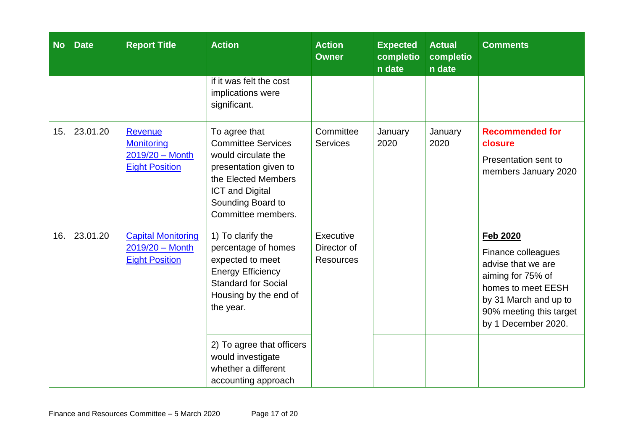| <b>No</b> | <b>Date</b> | <b>Report Title</b>                                                             | <b>Action</b>                                                                                                                                                                          | <b>Action</b><br><b>Owner</b>                | <b>Expected</b><br>completio<br>n date | <b>Actual</b><br>completio<br>n date | <b>Comments</b>                                                                                                                                                                   |
|-----------|-------------|---------------------------------------------------------------------------------|----------------------------------------------------------------------------------------------------------------------------------------------------------------------------------------|----------------------------------------------|----------------------------------------|--------------------------------------|-----------------------------------------------------------------------------------------------------------------------------------------------------------------------------------|
|           |             |                                                                                 | if it was felt the cost<br>implications were<br>significant.                                                                                                                           |                                              |                                        |                                      |                                                                                                                                                                                   |
| 15.       | 23.01.20    | <b>Revenue</b><br><b>Monitoring</b><br>2019/20 - Month<br><b>Eight Position</b> | To agree that<br><b>Committee Services</b><br>would circulate the<br>presentation given to<br>the Elected Members<br><b>ICT and Digital</b><br>Sounding Board to<br>Committee members. | Committee<br><b>Services</b>                 | January<br>2020                        | January<br>2020                      | <b>Recommended for</b><br>closure<br>Presentation sent to<br>members January 2020                                                                                                 |
| 16.       | 23.01.20    | <b>Capital Monitoring</b><br>$2019/20 - \text{Month}$<br><b>Eight Position</b>  | 1) To clarify the<br>percentage of homes<br>expected to meet<br><b>Energy Efficiency</b><br><b>Standard for Social</b><br>Housing by the end of<br>the year.                           | Executive<br>Director of<br><b>Resources</b> |                                        |                                      | <b>Feb 2020</b><br>Finance colleagues<br>advise that we are<br>aiming for 75% of<br>homes to meet EESH<br>by 31 March and up to<br>90% meeting this target<br>by 1 December 2020. |
|           |             |                                                                                 | 2) To agree that officers<br>would investigate<br>whether a different<br>accounting approach                                                                                           |                                              |                                        |                                      |                                                                                                                                                                                   |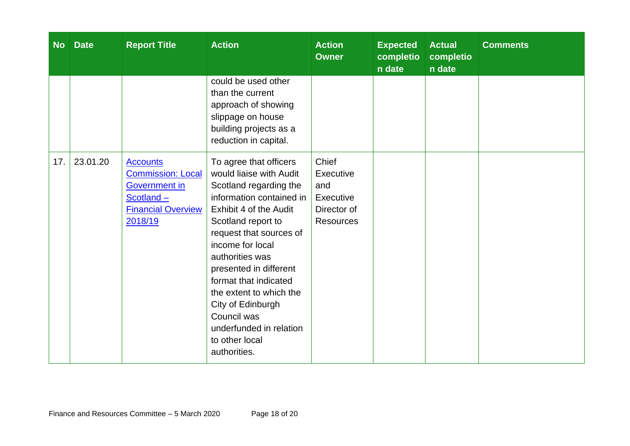| <b>No</b> | <b>Date</b> | <b>Report Title</b>                                                                                                         | <b>Action</b>                                                                                                                                                                                                                                                                                                                                                                                            | <b>Action</b><br><b>Owner</b>                                             | <b>Expected</b><br>completio<br>n date | <b>Actual</b><br>completio<br>n date | <b>Comments</b> |
|-----------|-------------|-----------------------------------------------------------------------------------------------------------------------------|----------------------------------------------------------------------------------------------------------------------------------------------------------------------------------------------------------------------------------------------------------------------------------------------------------------------------------------------------------------------------------------------------------|---------------------------------------------------------------------------|----------------------------------------|--------------------------------------|-----------------|
|           |             |                                                                                                                             | could be used other<br>than the current<br>approach of showing<br>slippage on house<br>building projects as a<br>reduction in capital.                                                                                                                                                                                                                                                                   |                                                                           |                                        |                                      |                 |
| 17.       | 23.01.20    | <b>Accounts</b><br><b>Commission: Local</b><br><b>Government in</b><br>$Scotland -$<br><b>Financial Overview</b><br>2018/19 | To agree that officers<br>would liaise with Audit<br>Scotland regarding the<br>information contained in<br>Exhibit 4 of the Audit<br>Scotland report to<br>request that sources of<br>income for local<br>authorities was<br>presented in different<br>format that indicated<br>the extent to which the<br>City of Edinburgh<br>Council was<br>underfunded in relation<br>to other local<br>authorities. | Chief<br>Executive<br>and<br>Executive<br>Director of<br><b>Resources</b> |                                        |                                      |                 |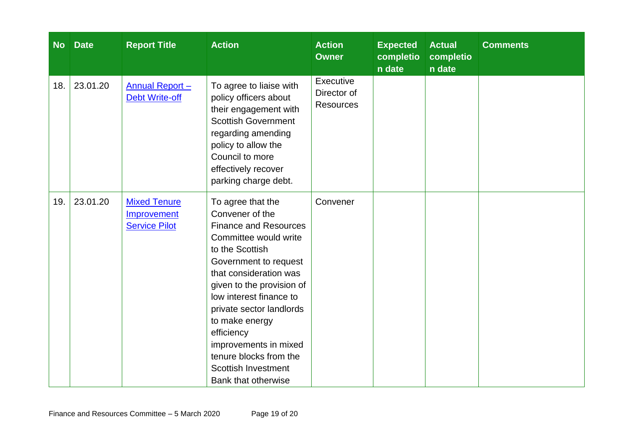| <b>No</b> | <b>Date</b> | <b>Report Title</b>                                        | <b>Action</b>                                                                                                                                                                                                                                                                                                                                                                                          | <b>Action</b><br><b>Owner</b>                | <b>Expected</b><br>completio<br>n date | <b>Actual</b><br>completio<br>n date | <b>Comments</b> |
|-----------|-------------|------------------------------------------------------------|--------------------------------------------------------------------------------------------------------------------------------------------------------------------------------------------------------------------------------------------------------------------------------------------------------------------------------------------------------------------------------------------------------|----------------------------------------------|----------------------------------------|--------------------------------------|-----------------|
| 18.       | 23.01.20    | <b>Annual Report -</b><br><b>Debt Write-off</b>            | To agree to liaise with<br>policy officers about<br>their engagement with<br><b>Scottish Government</b><br>regarding amending<br>policy to allow the<br>Council to more<br>effectively recover<br>parking charge debt.                                                                                                                                                                                 | Executive<br>Director of<br><b>Resources</b> |                                        |                                      |                 |
| 19.       | 23.01.20    | <b>Mixed Tenure</b><br>Improvement<br><b>Service Pilot</b> | To agree that the<br>Convener of the<br><b>Finance and Resources</b><br>Committee would write<br>to the Scottish<br>Government to request<br>that consideration was<br>given to the provision of<br>low interest finance to<br>private sector landlords<br>to make energy<br>efficiency<br>improvements in mixed<br>tenure blocks from the<br><b>Scottish Investment</b><br><b>Bank that otherwise</b> | Convener                                     |                                        |                                      |                 |